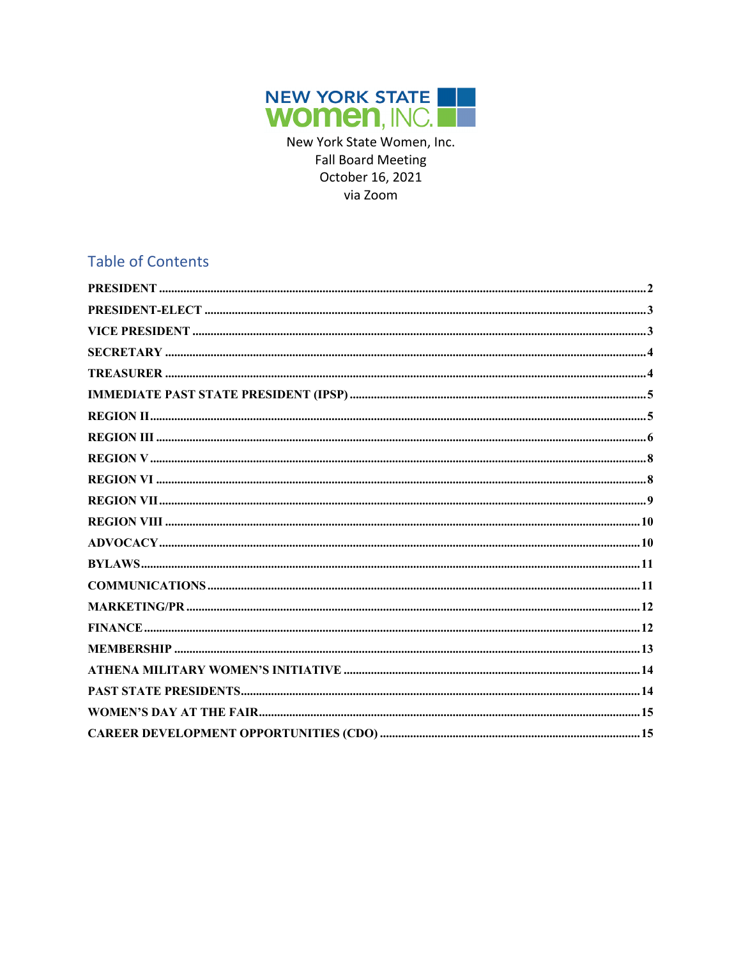

New York State Women, Inc. **Fall Board Meeting** October 16, 2021 via Zoom

### **Table of Contents**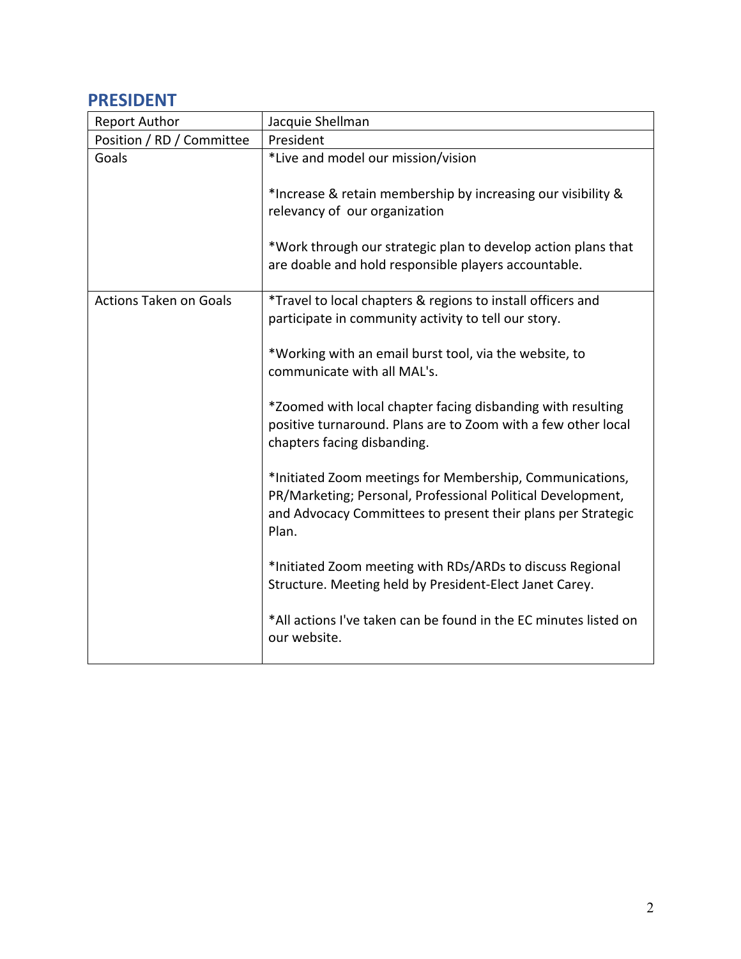#### **PRESIDENT**

| <b>Report Author</b>          | Jacquie Shellman                                                                                                                                                                                                                                                                                                                                                                                                                                                                                                                                                                                                                                                                                                                                                                            |
|-------------------------------|---------------------------------------------------------------------------------------------------------------------------------------------------------------------------------------------------------------------------------------------------------------------------------------------------------------------------------------------------------------------------------------------------------------------------------------------------------------------------------------------------------------------------------------------------------------------------------------------------------------------------------------------------------------------------------------------------------------------------------------------------------------------------------------------|
| Position / RD / Committee     | President                                                                                                                                                                                                                                                                                                                                                                                                                                                                                                                                                                                                                                                                                                                                                                                   |
| Goals                         | *Live and model our mission/vision<br>*Increase & retain membership by increasing our visibility &<br>relevancy of our organization<br>*Work through our strategic plan to develop action plans that<br>are doable and hold responsible players accountable.                                                                                                                                                                                                                                                                                                                                                                                                                                                                                                                                |
| <b>Actions Taken on Goals</b> | *Travel to local chapters & regions to install officers and<br>participate in community activity to tell our story.<br>*Working with an email burst tool, via the website, to<br>communicate with all MAL's.<br>*Zoomed with local chapter facing disbanding with resulting<br>positive turnaround. Plans are to Zoom with a few other local<br>chapters facing disbanding.<br>*Initiated Zoom meetings for Membership, Communications,<br>PR/Marketing; Personal, Professional Political Development,<br>and Advocacy Committees to present their plans per Strategic<br>Plan.<br>*Initiated Zoom meeting with RDs/ARDs to discuss Regional<br>Structure. Meeting held by President-Elect Janet Carey.<br>*All actions I've taken can be found in the EC minutes listed on<br>our website. |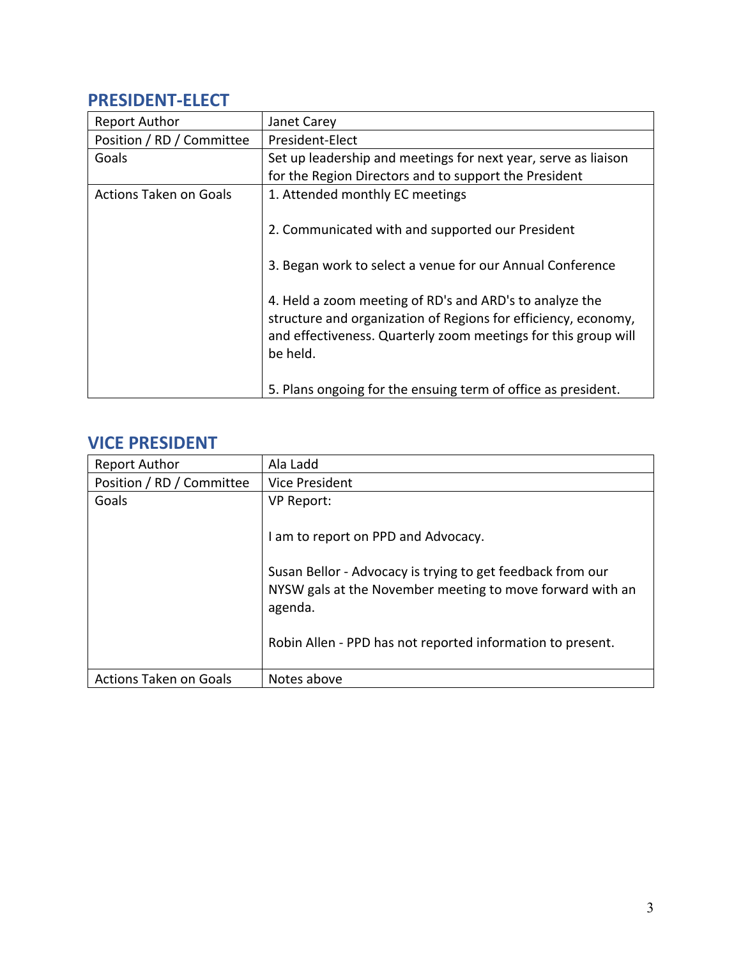### **PRESIDENT-ELECT**

| Janet Carey                                                                                                                                                                                                                                                                                                              |
|--------------------------------------------------------------------------------------------------------------------------------------------------------------------------------------------------------------------------------------------------------------------------------------------------------------------------|
| President-Elect                                                                                                                                                                                                                                                                                                          |
| Set up leadership and meetings for next year, serve as liaison                                                                                                                                                                                                                                                           |
| for the Region Directors and to support the President                                                                                                                                                                                                                                                                    |
| 1. Attended monthly EC meetings                                                                                                                                                                                                                                                                                          |
| 2. Communicated with and supported our President<br>3. Began work to select a venue for our Annual Conference<br>4. Held a zoom meeting of RD's and ARD's to analyze the<br>structure and organization of Regions for efficiency, economy,<br>and effectiveness. Quarterly zoom meetings for this group will<br>be held. |
| 5. Plans ongoing for the ensuing term of office as president.                                                                                                                                                                                                                                                            |
|                                                                                                                                                                                                                                                                                                                          |

#### **VICE PRESIDENT**

| <b>Report Author</b>          | Ala Ladd                                                                                                                           |
|-------------------------------|------------------------------------------------------------------------------------------------------------------------------------|
| Position / RD / Committee     | Vice President                                                                                                                     |
| Goals                         | <b>VP Report:</b>                                                                                                                  |
|                               | am to report on PPD and Advocacy.                                                                                                  |
|                               | Susan Bellor - Advocacy is trying to get feedback from our<br>NYSW gals at the November meeting to move forward with an<br>agenda. |
|                               | Robin Allen - PPD has not reported information to present.                                                                         |
| <b>Actions Taken on Goals</b> | Notes above                                                                                                                        |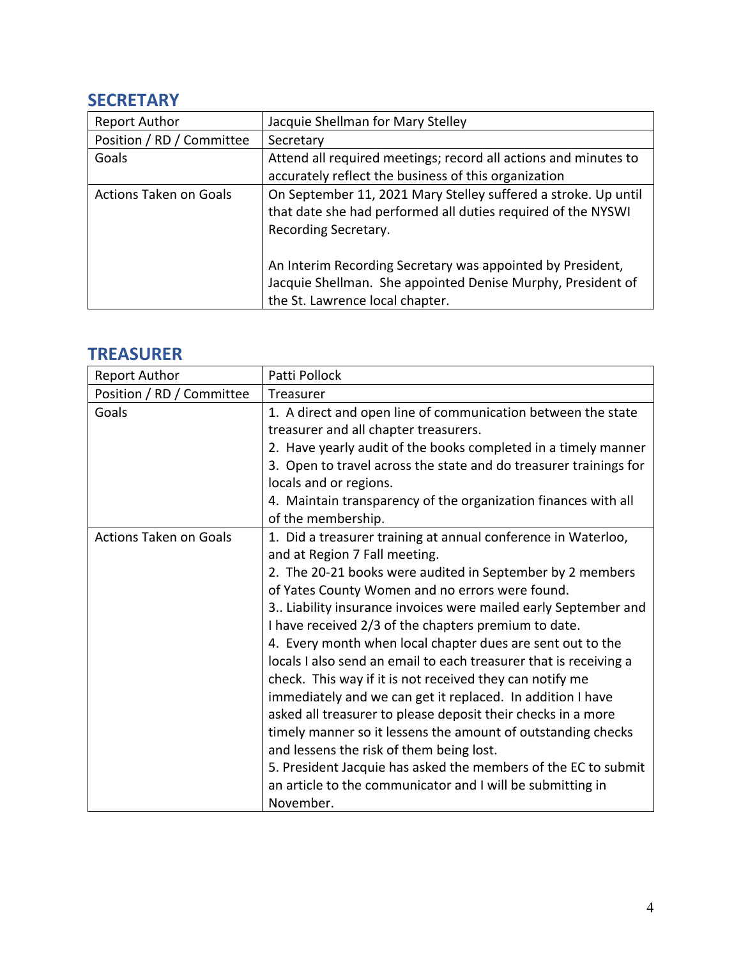### **SECRETARY**

| <b>Report Author</b>          | Jacquie Shellman for Mary Stelley                                                                                                                            |
|-------------------------------|--------------------------------------------------------------------------------------------------------------------------------------------------------------|
| Position / RD / Committee     | Secretary                                                                                                                                                    |
| Goals                         | Attend all required meetings; record all actions and minutes to                                                                                              |
|                               | accurately reflect the business of this organization                                                                                                         |
| <b>Actions Taken on Goals</b> | On September 11, 2021 Mary Stelley suffered a stroke. Up until<br>that date she had performed all duties required of the NYSWI<br>Recording Secretary.       |
|                               | An Interim Recording Secretary was appointed by President,<br>Jacquie Shellman. She appointed Denise Murphy, President of<br>the St. Lawrence local chapter. |

## **TREASURER**

| <b>Report Author</b>          | Patti Pollock                                                     |
|-------------------------------|-------------------------------------------------------------------|
| Position / RD / Committee     | Treasurer                                                         |
| Goals                         | 1. A direct and open line of communication between the state      |
|                               | treasurer and all chapter treasurers.                             |
|                               | 2. Have yearly audit of the books completed in a timely manner    |
|                               | 3. Open to travel across the state and do treasurer trainings for |
|                               | locals and or regions.                                            |
|                               | 4. Maintain transparency of the organization finances with all    |
|                               | of the membership.                                                |
| <b>Actions Taken on Goals</b> | 1. Did a treasurer training at annual conference in Waterloo,     |
|                               | and at Region 7 Fall meeting.                                     |
|                               | 2. The 20-21 books were audited in September by 2 members         |
|                               | of Yates County Women and no errors were found.                   |
|                               | 3 Liability insurance invoices were mailed early September and    |
|                               | I have received 2/3 of the chapters premium to date.              |
|                               | 4. Every month when local chapter dues are sent out to the        |
|                               | locals I also send an email to each treasurer that is receiving a |
|                               | check. This way if it is not received they can notify me          |
|                               | immediately and we can get it replaced. In addition I have        |
|                               | asked all treasurer to please deposit their checks in a more      |
|                               | timely manner so it lessens the amount of outstanding checks      |
|                               | and lessens the risk of them being lost.                          |
|                               | 5. President Jacquie has asked the members of the EC to submit    |
|                               | an article to the communicator and I will be submitting in        |
|                               | November.                                                         |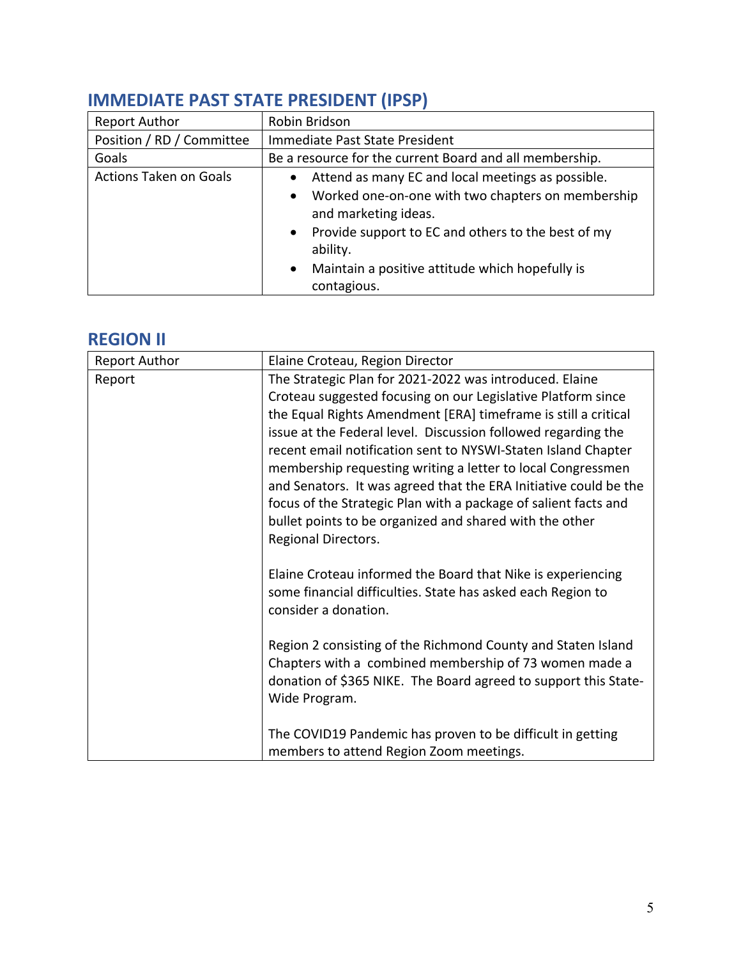| <b>Report Author</b>          | Robin Bridson                                                                                                                                                                                                                                                                                    |
|-------------------------------|--------------------------------------------------------------------------------------------------------------------------------------------------------------------------------------------------------------------------------------------------------------------------------------------------|
| Position / RD / Committee     | Immediate Past State President                                                                                                                                                                                                                                                                   |
| Goals                         | Be a resource for the current Board and all membership.                                                                                                                                                                                                                                          |
| <b>Actions Taken on Goals</b> | • Attend as many EC and local meetings as possible.<br>Worked one-on-one with two chapters on membership<br>$\bullet$<br>and marketing ideas.<br>• Provide support to EC and others to the best of my<br>ability.<br>Maintain a positive attitude which hopefully is<br>$\bullet$<br>contagious. |

## **IMMEDIATE PAST STATE PRESIDENT (IPSP)**

### **REGION II**

| <b>Report Author</b> | Elaine Croteau, Region Director                                  |
|----------------------|------------------------------------------------------------------|
| Report               | The Strategic Plan for 2021-2022 was introduced. Elaine          |
|                      | Croteau suggested focusing on our Legislative Platform since     |
|                      | the Equal Rights Amendment [ERA] timeframe is still a critical   |
|                      | issue at the Federal level. Discussion followed regarding the    |
|                      | recent email notification sent to NYSWI-Staten Island Chapter    |
|                      | membership requesting writing a letter to local Congressmen      |
|                      | and Senators. It was agreed that the ERA Initiative could be the |
|                      | focus of the Strategic Plan with a package of salient facts and  |
|                      | bullet points to be organized and shared with the other          |
|                      | Regional Directors.                                              |
|                      |                                                                  |
|                      | Elaine Croteau informed the Board that Nike is experiencing      |
|                      | some financial difficulties. State has asked each Region to      |
|                      | consider a donation.                                             |
|                      |                                                                  |
|                      | Region 2 consisting of the Richmond County and Staten Island     |
|                      | Chapters with a combined membership of 73 women made a           |
|                      | donation of \$365 NIKE. The Board agreed to support this State-  |
|                      | Wide Program.                                                    |
|                      |                                                                  |
|                      | The COVID19 Pandemic has proven to be difficult in getting       |
|                      |                                                                  |
|                      | members to attend Region Zoom meetings.                          |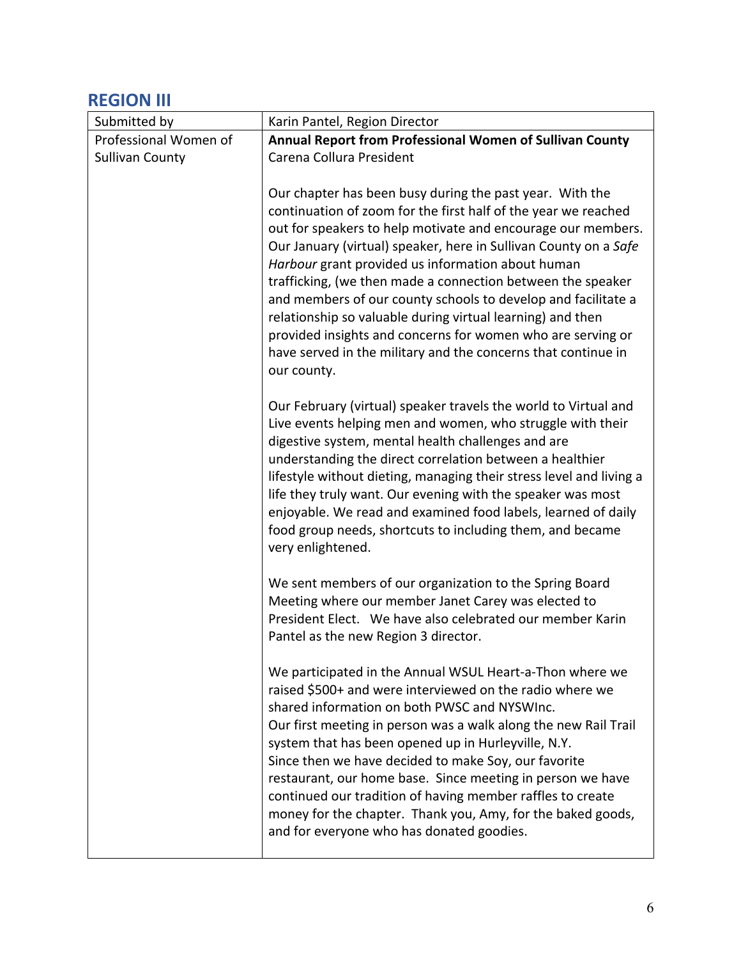# **REGION III**

| Submitted by           | Karin Pantel, Region Director                                                                                                                                                                                                                                                                                                                                                                                                                                                                                                                                                                                                                                    |
|------------------------|------------------------------------------------------------------------------------------------------------------------------------------------------------------------------------------------------------------------------------------------------------------------------------------------------------------------------------------------------------------------------------------------------------------------------------------------------------------------------------------------------------------------------------------------------------------------------------------------------------------------------------------------------------------|
| Professional Women of  | Annual Report from Professional Women of Sullivan County                                                                                                                                                                                                                                                                                                                                                                                                                                                                                                                                                                                                         |
| <b>Sullivan County</b> | Carena Collura President                                                                                                                                                                                                                                                                                                                                                                                                                                                                                                                                                                                                                                         |
|                        | Our chapter has been busy during the past year. With the<br>continuation of zoom for the first half of the year we reached<br>out for speakers to help motivate and encourage our members.<br>Our January (virtual) speaker, here in Sullivan County on a Safe<br>Harbour grant provided us information about human<br>trafficking, (we then made a connection between the speaker<br>and members of our county schools to develop and facilitate a<br>relationship so valuable during virtual learning) and then<br>provided insights and concerns for women who are serving or<br>have served in the military and the concerns that continue in<br>our county. |
|                        | Our February (virtual) speaker travels the world to Virtual and<br>Live events helping men and women, who struggle with their<br>digestive system, mental health challenges and are<br>understanding the direct correlation between a healthier<br>lifestyle without dieting, managing their stress level and living a<br>life they truly want. Our evening with the speaker was most<br>enjoyable. We read and examined food labels, learned of daily<br>food group needs, shortcuts to including them, and became<br>very enlightened.                                                                                                                         |
|                        | We sent members of our organization to the Spring Board<br>Meeting where our member Janet Carey was elected to<br>President Elect. We have also celebrated our member Karin<br>Pantel as the new Region 3 director.                                                                                                                                                                                                                                                                                                                                                                                                                                              |
|                        | We participated in the Annual WSUL Heart-a-Thon where we<br>raised \$500+ and were interviewed on the radio where we<br>shared information on both PWSC and NYSWInc.<br>Our first meeting in person was a walk along the new Rail Trail<br>system that has been opened up in Hurleyville, N.Y.<br>Since then we have decided to make Soy, our favorite<br>restaurant, our home base. Since meeting in person we have<br>continued our tradition of having member raffles to create<br>money for the chapter. Thank you, Amy, for the baked goods,<br>and for everyone who has donated goodies.                                                                   |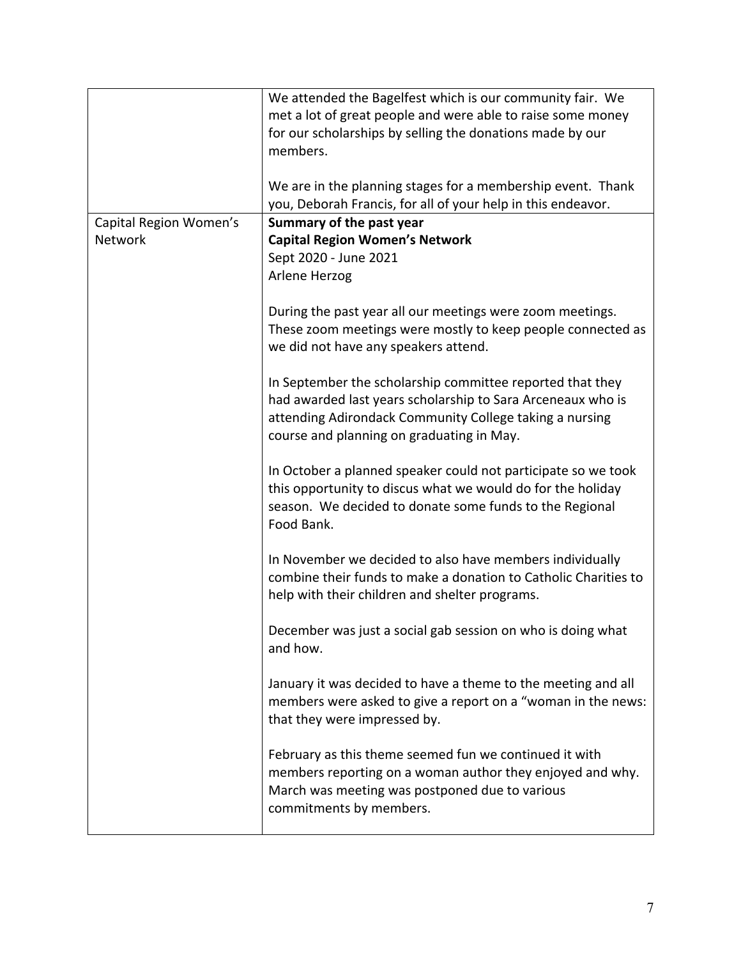|                                          | We attended the Bagelfest which is our community fair. We<br>met a lot of great people and were able to raise some money<br>for our scholarships by selling the donations made by our<br>members.<br>We are in the planning stages for a membership event. Thank<br>you, Deborah Francis, for all of your help in this endeavor. |
|------------------------------------------|----------------------------------------------------------------------------------------------------------------------------------------------------------------------------------------------------------------------------------------------------------------------------------------------------------------------------------|
| Capital Region Women's<br><b>Network</b> | Summary of the past year<br><b>Capital Region Women's Network</b><br>Sept 2020 - June 2021<br>Arlene Herzog                                                                                                                                                                                                                      |
|                                          | During the past year all our meetings were zoom meetings.<br>These zoom meetings were mostly to keep people connected as<br>we did not have any speakers attend.                                                                                                                                                                 |
|                                          | In September the scholarship committee reported that they<br>had awarded last years scholarship to Sara Arceneaux who is<br>attending Adirondack Community College taking a nursing<br>course and planning on graduating in May.                                                                                                 |
|                                          | In October a planned speaker could not participate so we took<br>this opportunity to discus what we would do for the holiday<br>season. We decided to donate some funds to the Regional<br>Food Bank.                                                                                                                            |
|                                          | In November we decided to also have members individually<br>combine their funds to make a donation to Catholic Charities to<br>help with their children and shelter programs.                                                                                                                                                    |
|                                          | December was just a social gab session on who is doing what<br>and how.                                                                                                                                                                                                                                                          |
|                                          | January it was decided to have a theme to the meeting and all<br>members were asked to give a report on a "woman in the news:<br>that they were impressed by.                                                                                                                                                                    |
|                                          | February as this theme seemed fun we continued it with<br>members reporting on a woman author they enjoyed and why.<br>March was meeting was postponed due to various<br>commitments by members.                                                                                                                                 |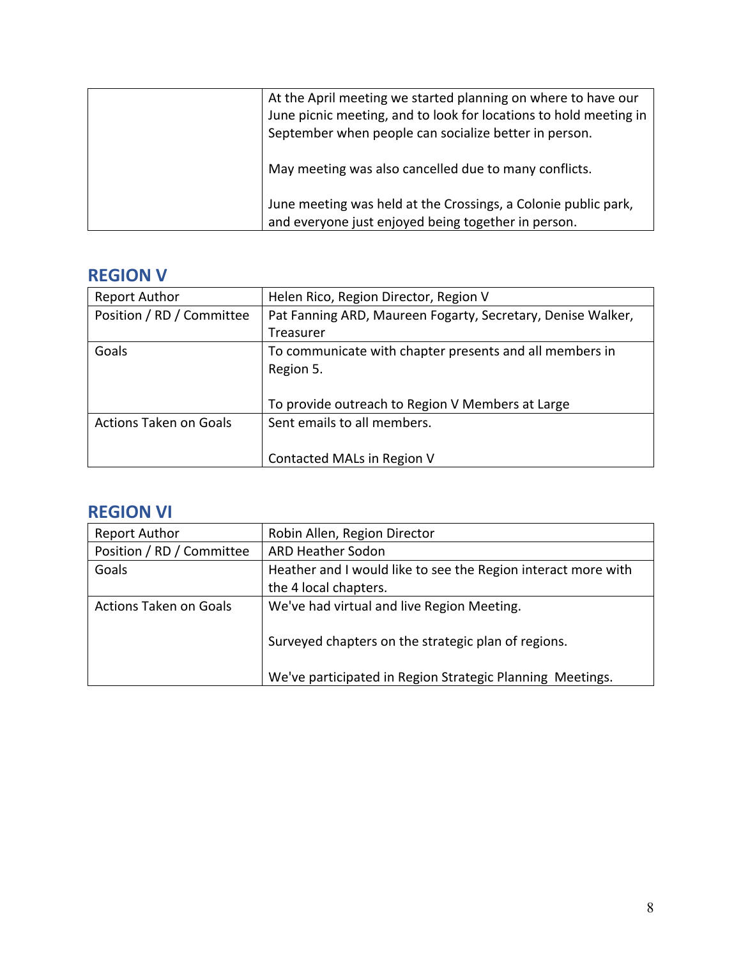| At the April meeting we started planning on where to have our<br>June picnic meeting, and to look for locations to hold meeting in<br>September when people can socialize better in person. |
|---------------------------------------------------------------------------------------------------------------------------------------------------------------------------------------------|
| May meeting was also cancelled due to many conflicts.                                                                                                                                       |
| June meeting was held at the Crossings, a Colonie public park,<br>and everyone just enjoyed being together in person.                                                                       |

## **REGION V**

| <b>Report Author</b>          | Helen Rico, Region Director, Region V                       |
|-------------------------------|-------------------------------------------------------------|
| Position / RD / Committee     | Pat Fanning ARD, Maureen Fogarty, Secretary, Denise Walker, |
|                               | Treasurer                                                   |
| Goals                         | To communicate with chapter presents and all members in     |
|                               | Region 5.                                                   |
|                               |                                                             |
|                               | To provide outreach to Region V Members at Large            |
| <b>Actions Taken on Goals</b> | Sent emails to all members.                                 |
|                               |                                                             |
|                               | Contacted MALs in Region V                                  |

# **REGION VI**

| <b>Report Author</b>          | Robin Allen, Region Director                                  |
|-------------------------------|---------------------------------------------------------------|
| Position / RD / Committee     | <b>ARD Heather Sodon</b>                                      |
| Goals                         | Heather and I would like to see the Region interact more with |
|                               | the 4 local chapters.                                         |
| <b>Actions Taken on Goals</b> | We've had virtual and live Region Meeting.                    |
|                               |                                                               |
|                               | Surveyed chapters on the strategic plan of regions.           |
|                               |                                                               |
|                               | We've participated in Region Strategic Planning Meetings.     |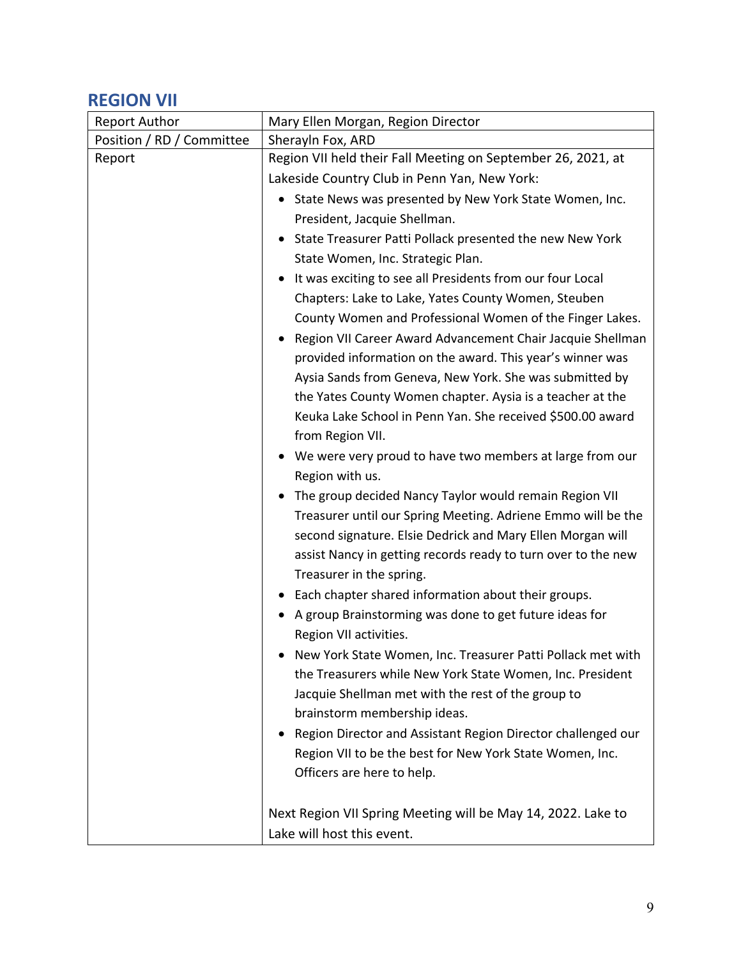### **REGION VII**

| <b>Report Author</b>      | Mary Ellen Morgan, Region Director                                  |
|---------------------------|---------------------------------------------------------------------|
| Position / RD / Committee | Sherayln Fox, ARD                                                   |
| Report                    | Region VII held their Fall Meeting on September 26, 2021, at        |
|                           | Lakeside Country Club in Penn Yan, New York:                        |
|                           | State News was presented by New York State Women, Inc.<br>$\bullet$ |
|                           | President, Jacquie Shellman.                                        |
|                           | State Treasurer Patti Pollack presented the new New York            |
|                           | State Women, Inc. Strategic Plan.                                   |
|                           | It was exciting to see all Presidents from our four Local           |
|                           | Chapters: Lake to Lake, Yates County Women, Steuben                 |
|                           | County Women and Professional Women of the Finger Lakes.            |
|                           | Region VII Career Award Advancement Chair Jacquie Shellman          |
|                           | provided information on the award. This year's winner was           |
|                           | Aysia Sands from Geneva, New York. She was submitted by             |
|                           | the Yates County Women chapter. Aysia is a teacher at the           |
|                           | Keuka Lake School in Penn Yan. She received \$500.00 award          |
|                           | from Region VII.                                                    |
|                           | We were very proud to have two members at large from our            |
|                           | Region with us.                                                     |
|                           | The group decided Nancy Taylor would remain Region VII              |
|                           | Treasurer until our Spring Meeting. Adriene Emmo will be the        |
|                           | second signature. Elsie Dedrick and Mary Ellen Morgan will          |
|                           | assist Nancy in getting records ready to turn over to the new       |
|                           | Treasurer in the spring.                                            |
|                           | Each chapter shared information about their groups.                 |
|                           | A group Brainstorming was done to get future ideas for              |
|                           | Region VII activities.                                              |
|                           | New York State Women, Inc. Treasurer Patti Pollack met with         |
|                           | the Treasurers while New York State Women, Inc. President           |
|                           | Jacquie Shellman met with the rest of the group to                  |
|                           | brainstorm membership ideas.                                        |
|                           | Region Director and Assistant Region Director challenged our        |
|                           | Region VII to be the best for New York State Women, Inc.            |
|                           | Officers are here to help.                                          |
|                           | Next Region VII Spring Meeting will be May 14, 2022. Lake to        |
|                           | Lake will host this event.                                          |
|                           |                                                                     |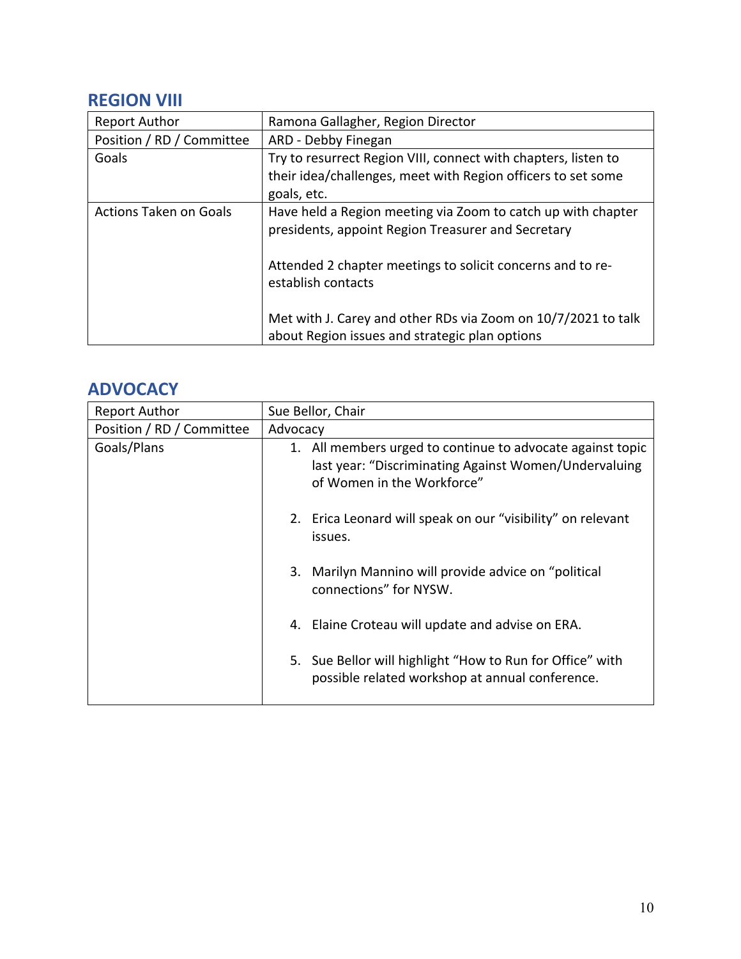### **REGION VIII**

| <b>Report Author</b>          | Ramona Gallagher, Region Director                                                                                                                                                                      |
|-------------------------------|--------------------------------------------------------------------------------------------------------------------------------------------------------------------------------------------------------|
| Position / RD / Committee     | ARD - Debby Finegan                                                                                                                                                                                    |
| Goals                         | Try to resurrect Region VIII, connect with chapters, listen to<br>their idea/challenges, meet with Region officers to set some<br>goals, etc.                                                          |
| <b>Actions Taken on Goals</b> | Have held a Region meeting via Zoom to catch up with chapter<br>presidents, appoint Region Treasurer and Secretary<br>Attended 2 chapter meetings to solicit concerns and to re-<br>establish contacts |
|                               | Met with J. Carey and other RDs via Zoom on 10/7/2021 to talk<br>about Region issues and strategic plan options                                                                                        |

#### **ADVOCACY**

| <b>Report Author</b>      | Sue Bellor, Chair                                                                                                                                 |
|---------------------------|---------------------------------------------------------------------------------------------------------------------------------------------------|
| Position / RD / Committee | Advocacy                                                                                                                                          |
| Goals/Plans               | 1. All members urged to continue to advocate against topic<br>last year: "Discriminating Against Women/Undervaluing<br>of Women in the Workforce" |
|                           | 2. Erica Leonard will speak on our "visibility" on relevant<br>issues.                                                                            |
|                           | 3. Marilyn Mannino will provide advice on "political<br>connections" for NYSW.                                                                    |
|                           | 4. Elaine Croteau will update and advise on ERA.                                                                                                  |
|                           | 5. Sue Bellor will highlight "How to Run for Office" with<br>possible related workshop at annual conference.                                      |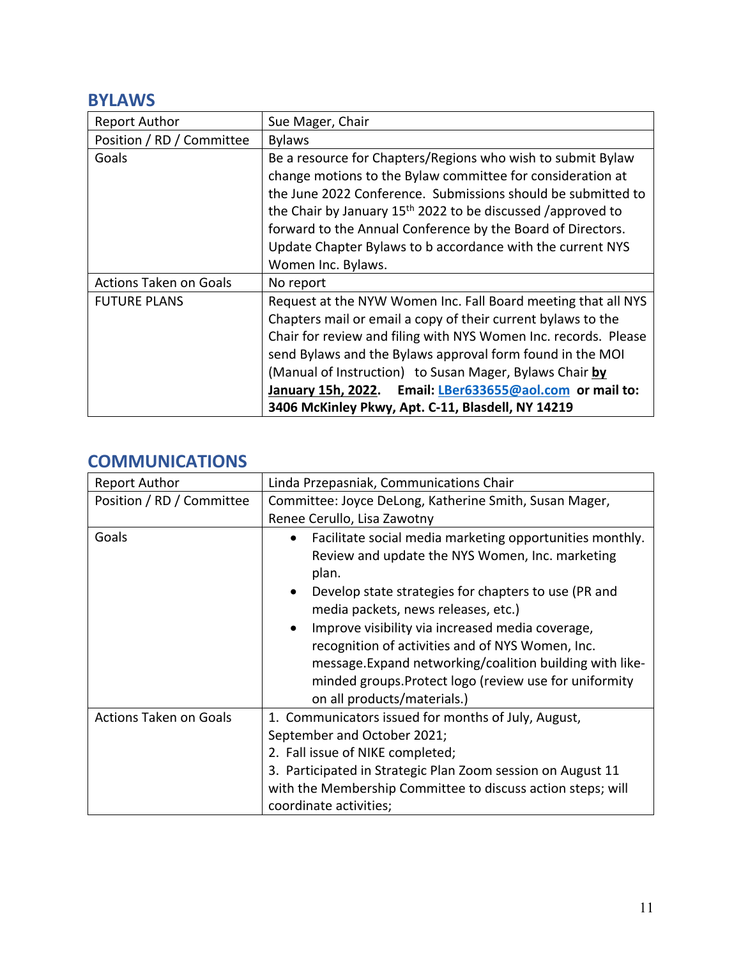#### **BYLAWS**

| <b>Report Author</b>          | Sue Mager, Chair                                                                                                                                                                                                                                                                                                                                                                                                                          |
|-------------------------------|-------------------------------------------------------------------------------------------------------------------------------------------------------------------------------------------------------------------------------------------------------------------------------------------------------------------------------------------------------------------------------------------------------------------------------------------|
| Position / RD / Committee     | <b>Bylaws</b>                                                                                                                                                                                                                                                                                                                                                                                                                             |
| Goals                         | Be a resource for Chapters/Regions who wish to submit Bylaw<br>change motions to the Bylaw committee for consideration at<br>the June 2022 Conference. Submissions should be submitted to<br>the Chair by January 15 <sup>th</sup> 2022 to be discussed /approved to<br>forward to the Annual Conference by the Board of Directors.<br>Update Chapter Bylaws to b accordance with the current NYS<br>Women Inc. Bylaws.                   |
| <b>Actions Taken on Goals</b> | No report                                                                                                                                                                                                                                                                                                                                                                                                                                 |
| <b>FUTURE PLANS</b>           | Request at the NYW Women Inc. Fall Board meeting that all NYS<br>Chapters mail or email a copy of their current bylaws to the<br>Chair for review and filing with NYS Women Inc. records. Please<br>send Bylaws and the Bylaws approval form found in the MOI<br>(Manual of Instruction) to Susan Mager, Bylaws Chair by<br>January 15h, 2022. Email: LBer633655@aol.com or mail to:<br>3406 McKinley Pkwy, Apt. C-11, Blasdell, NY 14219 |

### **COMMUNICATIONS**

| <b>Report Author</b>          | Linda Przepasniak, Communications Chair                                                                                                                                                                                                                                                                                                                                                                                                                                                       |
|-------------------------------|-----------------------------------------------------------------------------------------------------------------------------------------------------------------------------------------------------------------------------------------------------------------------------------------------------------------------------------------------------------------------------------------------------------------------------------------------------------------------------------------------|
| Position / RD / Committee     | Committee: Joyce DeLong, Katherine Smith, Susan Mager,<br>Renee Cerullo, Lisa Zawotny                                                                                                                                                                                                                                                                                                                                                                                                         |
| Goals                         | Facilitate social media marketing opportunities monthly.<br>Review and update the NYS Women, Inc. marketing<br>plan.<br>Develop state strategies for chapters to use (PR and<br>$\bullet$<br>media packets, news releases, etc.)<br>Improve visibility via increased media coverage,<br>recognition of activities and of NYS Women, Inc.<br>message. Expand networking/coalition building with like-<br>minded groups. Protect logo (review use for uniformity<br>on all products/materials.) |
| <b>Actions Taken on Goals</b> | 1. Communicators issued for months of July, August,<br>September and October 2021;<br>2. Fall issue of NIKE completed;<br>3. Participated in Strategic Plan Zoom session on August 11<br>with the Membership Committee to discuss action steps; will<br>coordinate activities;                                                                                                                                                                                                                |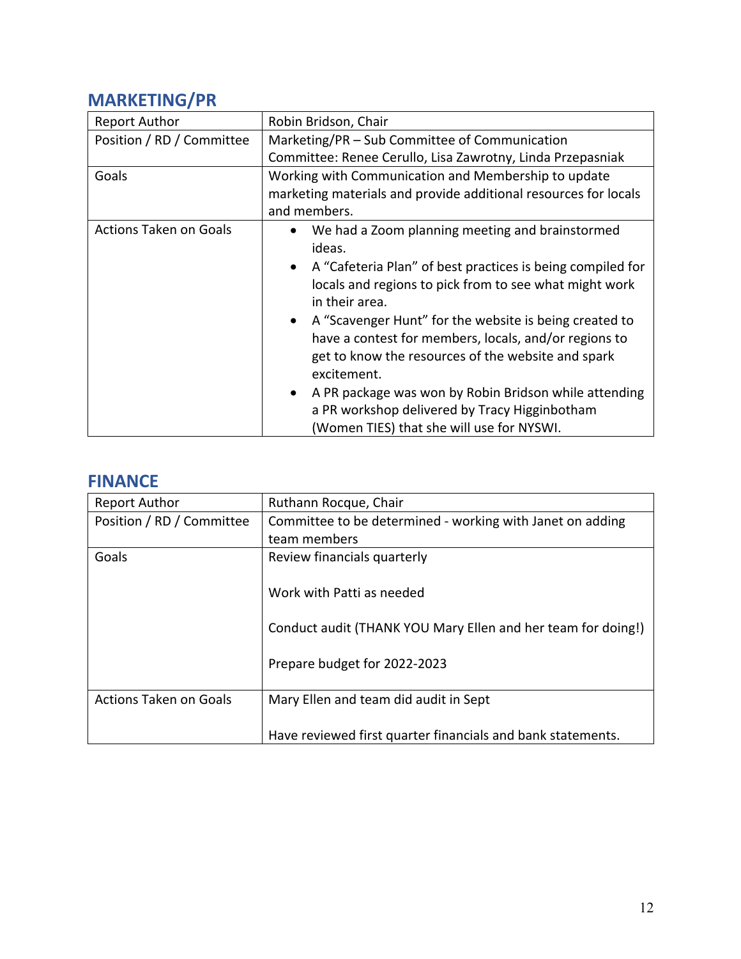## **MARKETING/PR**

| <b>Report Author</b>          | Robin Bridson, Chair                                                                                                                                                                                                                                                                                                                                                                                                                                                                                                                                 |
|-------------------------------|------------------------------------------------------------------------------------------------------------------------------------------------------------------------------------------------------------------------------------------------------------------------------------------------------------------------------------------------------------------------------------------------------------------------------------------------------------------------------------------------------------------------------------------------------|
| Position / RD / Committee     | Marketing/PR – Sub Committee of Communication                                                                                                                                                                                                                                                                                                                                                                                                                                                                                                        |
|                               | Committee: Renee Cerullo, Lisa Zawrotny, Linda Przepasniak                                                                                                                                                                                                                                                                                                                                                                                                                                                                                           |
| Goals                         | Working with Communication and Membership to update<br>marketing materials and provide additional resources for locals<br>and members.                                                                                                                                                                                                                                                                                                                                                                                                               |
| <b>Actions Taken on Goals</b> | We had a Zoom planning meeting and brainstormed<br>ideas.<br>A "Cafeteria Plan" of best practices is being compiled for<br>locals and regions to pick from to see what might work<br>in their area.<br>• A "Scavenger Hunt" for the website is being created to<br>have a contest for members, locals, and/or regions to<br>get to know the resources of the website and spark<br>excitement.<br>A PR package was won by Robin Bridson while attending<br>a PR workshop delivered by Tracy Higginbotham<br>(Women TIES) that she will use for NYSWI. |

#### **FINANCE**

| <b>Report Author</b>          | Ruthann Rocque, Chair                                        |
|-------------------------------|--------------------------------------------------------------|
| Position / RD / Committee     | Committee to be determined - working with Janet on adding    |
|                               | team members                                                 |
| Goals                         | Review financials quarterly                                  |
|                               |                                                              |
|                               | Work with Patti as needed                                    |
|                               |                                                              |
|                               | Conduct audit (THANK YOU Mary Ellen and her team for doing!) |
|                               |                                                              |
|                               | Prepare budget for 2022-2023                                 |
|                               |                                                              |
| <b>Actions Taken on Goals</b> | Mary Ellen and team did audit in Sept                        |
|                               |                                                              |
|                               | Have reviewed first quarter financials and bank statements.  |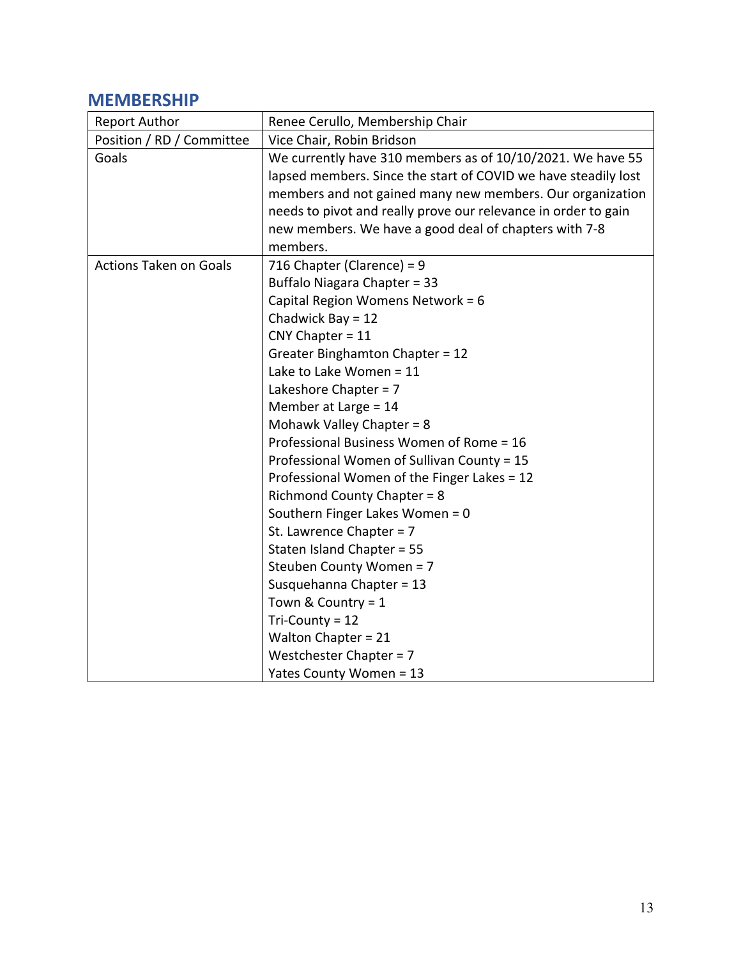#### **MEMBERSHIP**

| <b>Report Author</b>          | Renee Cerullo, Membership Chair                                                                                                                                                                                                                                                                                                                                                                                                                                                                                                                                                                                                                                                                                                                                 |
|-------------------------------|-----------------------------------------------------------------------------------------------------------------------------------------------------------------------------------------------------------------------------------------------------------------------------------------------------------------------------------------------------------------------------------------------------------------------------------------------------------------------------------------------------------------------------------------------------------------------------------------------------------------------------------------------------------------------------------------------------------------------------------------------------------------|
| Position / RD / Committee     | Vice Chair, Robin Bridson                                                                                                                                                                                                                                                                                                                                                                                                                                                                                                                                                                                                                                                                                                                                       |
| Goals                         | We currently have 310 members as of 10/10/2021. We have 55<br>lapsed members. Since the start of COVID we have steadily lost<br>members and not gained many new members. Our organization<br>needs to pivot and really prove our relevance in order to gain<br>new members. We have a good deal of chapters with 7-8<br>members.                                                                                                                                                                                                                                                                                                                                                                                                                                |
| <b>Actions Taken on Goals</b> | 716 Chapter (Clarence) = $9$<br><b>Buffalo Niagara Chapter = 33</b><br>Capital Region Womens Network = 6<br>Chadwick Bay = $12$<br>$CNY Chapter = 11$<br>Greater Binghamton Chapter = 12<br>Lake to Lake Women = 11<br>Lakeshore Chapter = 7<br>Member at Large = 14<br>Mohawk Valley Chapter = 8<br>Professional Business Women of Rome = 16<br>Professional Women of Sullivan County = 15<br>Professional Women of the Finger Lakes = 12<br><b>Richmond County Chapter = 8</b><br>Southern Finger Lakes Women = 0<br>St. Lawrence Chapter = $7$<br>Staten Island Chapter = 55<br>Steuben County Women = 7<br>Susquehanna Chapter = 13<br>Town & Country = $1$<br>Tri-County = 12<br>Walton Chapter = 21<br>Westchester Chapter = 7<br>Yates County Women = 13 |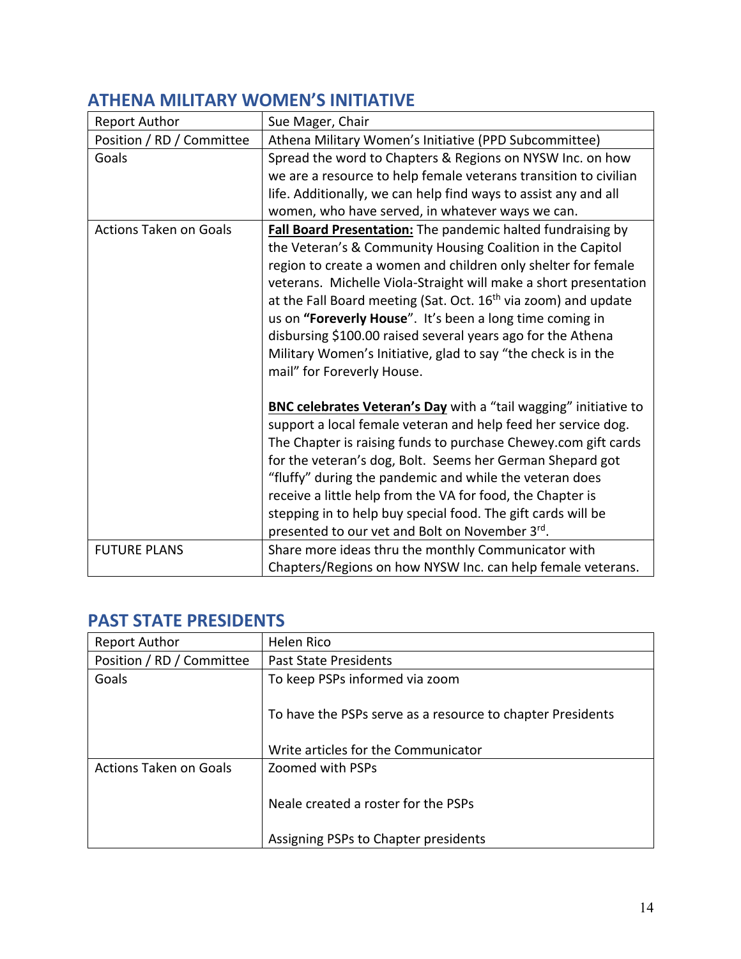| <b>Report Author</b>          | Sue Mager, Chair                                                                                                                                                                                                                                                                                                                                                                                                                                                                                                                                                       |
|-------------------------------|------------------------------------------------------------------------------------------------------------------------------------------------------------------------------------------------------------------------------------------------------------------------------------------------------------------------------------------------------------------------------------------------------------------------------------------------------------------------------------------------------------------------------------------------------------------------|
| Position / RD / Committee     | Athena Military Women's Initiative (PPD Subcommittee)                                                                                                                                                                                                                                                                                                                                                                                                                                                                                                                  |
| Goals                         | Spread the word to Chapters & Regions on NYSW Inc. on how<br>we are a resource to help female veterans transition to civilian<br>life. Additionally, we can help find ways to assist any and all                                                                                                                                                                                                                                                                                                                                                                       |
|                               | women, who have served, in whatever ways we can.                                                                                                                                                                                                                                                                                                                                                                                                                                                                                                                       |
| <b>Actions Taken on Goals</b> | Fall Board Presentation: The pandemic halted fundraising by<br>the Veteran's & Community Housing Coalition in the Capitol<br>region to create a women and children only shelter for female<br>veterans. Michelle Viola-Straight will make a short presentation<br>at the Fall Board meeting (Sat. Oct. 16 <sup>th</sup> via zoom) and update<br>us on "Foreverly House". It's been a long time coming in<br>disbursing \$100.00 raised several years ago for the Athena<br>Military Women's Initiative, glad to say "the check is in the<br>mail" for Foreverly House. |
|                               | <b>BNC celebrates Veteran's Day</b> with a "tail wagging" initiative to<br>support a local female veteran and help feed her service dog.<br>The Chapter is raising funds to purchase Chewey.com gift cards<br>for the veteran's dog, Bolt. Seems her German Shepard got<br>"fluffy" during the pandemic and while the veteran does<br>receive a little help from the VA for food, the Chapter is<br>stepping in to help buy special food. The gift cards will be<br>presented to our vet and Bolt on November 3rd.                                                     |
| <b>FUTURE PLANS</b>           | Share more ideas thru the monthly Communicator with<br>Chapters/Regions on how NYSW Inc. can help female veterans.                                                                                                                                                                                                                                                                                                                                                                                                                                                     |

## **ATHENA MILITARY WOMEN'S INITIATIVE**

## **PAST STATE PRESIDENTS**

| <b>Report Author</b>          | Helen Rico                                                 |
|-------------------------------|------------------------------------------------------------|
| Position / RD / Committee     | <b>Past State Presidents</b>                               |
| Goals                         | To keep PSPs informed via zoom                             |
|                               | To have the PSPs serve as a resource to chapter Presidents |
|                               | Write articles for the Communicator                        |
| <b>Actions Taken on Goals</b> | Zoomed with PSPs                                           |
|                               | Neale created a roster for the PSPs                        |
|                               | Assigning PSPs to Chapter presidents                       |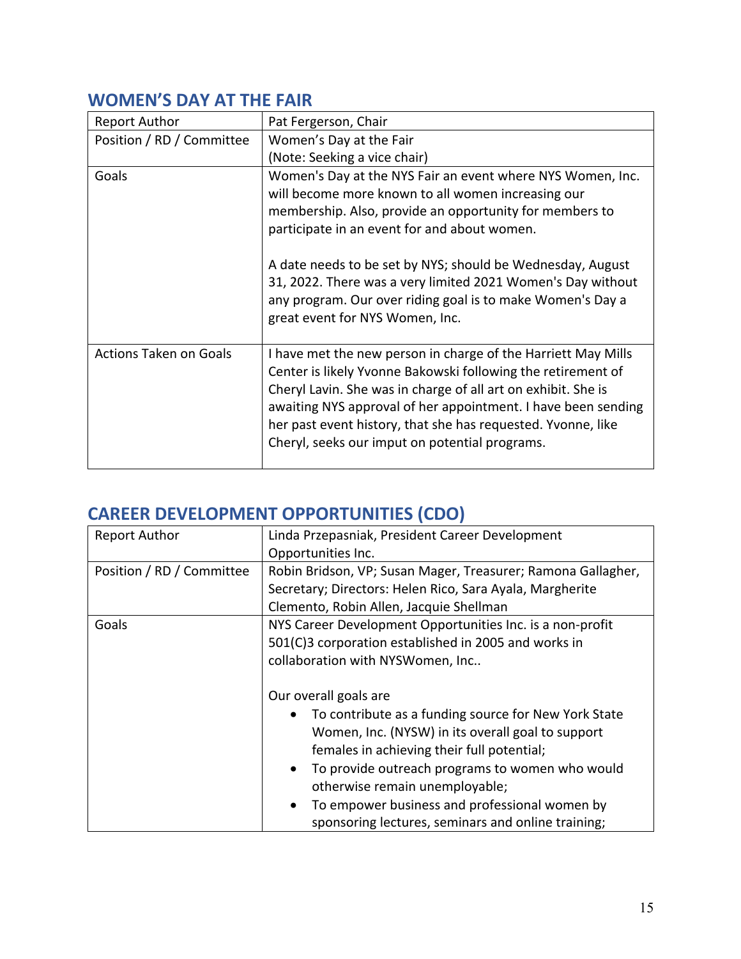## **WOMEN'S DAY AT THE FAIR**

| <b>Report Author</b>          | Pat Fergerson, Chair                                                                                                                                                                                                                                                                                                                                                                                                                                      |
|-------------------------------|-----------------------------------------------------------------------------------------------------------------------------------------------------------------------------------------------------------------------------------------------------------------------------------------------------------------------------------------------------------------------------------------------------------------------------------------------------------|
| Position / RD / Committee     | Women's Day at the Fair                                                                                                                                                                                                                                                                                                                                                                                                                                   |
|                               | (Note: Seeking a vice chair)                                                                                                                                                                                                                                                                                                                                                                                                                              |
| Goals                         | Women's Day at the NYS Fair an event where NYS Women, Inc.<br>will become more known to all women increasing our<br>membership. Also, provide an opportunity for members to<br>participate in an event for and about women.<br>A date needs to be set by NYS; should be Wednesday, August<br>31, 2022. There was a very limited 2021 Women's Day without<br>any program. Our over riding goal is to make Women's Day a<br>great event for NYS Women, Inc. |
| <b>Actions Taken on Goals</b> | I have met the new person in charge of the Harriett May Mills<br>Center is likely Yvonne Bakowski following the retirement of<br>Cheryl Lavin. She was in charge of all art on exhibit. She is<br>awaiting NYS approval of her appointment. I have been sending<br>her past event history, that she has requested. Yvonne, like<br>Cheryl, seeks our imput on potential programs.                                                                         |

## **CAREER DEVELOPMENT OPPORTUNITIES (CDO)**

| <b>Report Author</b>      | Linda Przepasniak, President Career Development              |
|---------------------------|--------------------------------------------------------------|
|                           | Opportunities Inc.                                           |
| Position / RD / Committee | Robin Bridson, VP; Susan Mager, Treasurer; Ramona Gallagher, |
|                           | Secretary; Directors: Helen Rico, Sara Ayala, Margherite     |
|                           | Clemento, Robin Allen, Jacquie Shellman                      |
| Goals                     | NYS Career Development Opportunities Inc. is a non-profit    |
|                           | 501(C)3 corporation established in 2005 and works in         |
|                           | collaboration with NYSWomen, Inc                             |
|                           |                                                              |
|                           | Our overall goals are                                        |
|                           | To contribute as a funding source for New York State         |
|                           | Women, Inc. (NYSW) in its overall goal to support            |
|                           | females in achieving their full potential;                   |
|                           | To provide outreach programs to women who would<br>$\bullet$ |
|                           | otherwise remain unemployable;                               |
|                           | To empower business and professional women by                |
|                           | sponsoring lectures, seminars and online training;           |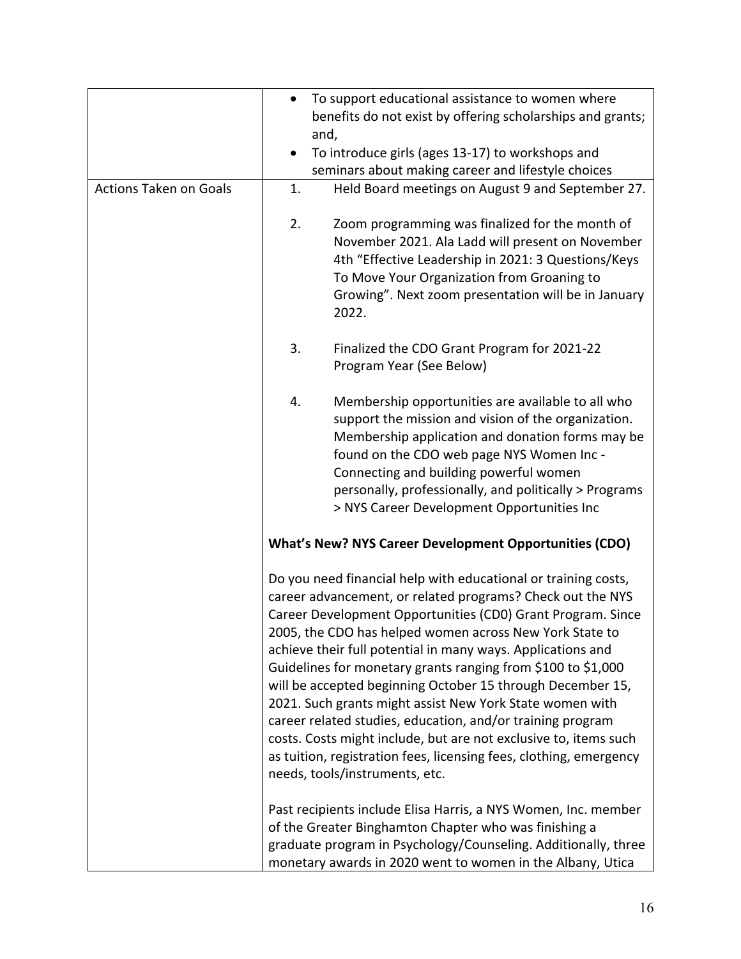|                               | To support educational assistance to women where<br>$\bullet$                                                                                                                                                                                                                                                                                                                                                                                                                                                                                                                                                                                                                                                                                             |
|-------------------------------|-----------------------------------------------------------------------------------------------------------------------------------------------------------------------------------------------------------------------------------------------------------------------------------------------------------------------------------------------------------------------------------------------------------------------------------------------------------------------------------------------------------------------------------------------------------------------------------------------------------------------------------------------------------------------------------------------------------------------------------------------------------|
|                               | benefits do not exist by offering scholarships and grants;                                                                                                                                                                                                                                                                                                                                                                                                                                                                                                                                                                                                                                                                                                |
|                               | and,                                                                                                                                                                                                                                                                                                                                                                                                                                                                                                                                                                                                                                                                                                                                                      |
|                               | To introduce girls (ages 13-17) to workshops and                                                                                                                                                                                                                                                                                                                                                                                                                                                                                                                                                                                                                                                                                                          |
|                               | seminars about making career and lifestyle choices                                                                                                                                                                                                                                                                                                                                                                                                                                                                                                                                                                                                                                                                                                        |
| <b>Actions Taken on Goals</b> | Held Board meetings on August 9 and September 27.<br>1.                                                                                                                                                                                                                                                                                                                                                                                                                                                                                                                                                                                                                                                                                                   |
|                               | 2.<br>Zoom programming was finalized for the month of<br>November 2021. Ala Ladd will present on November<br>4th "Effective Leadership in 2021: 3 Questions/Keys<br>To Move Your Organization from Groaning to<br>Growing". Next zoom presentation will be in January<br>2022.                                                                                                                                                                                                                                                                                                                                                                                                                                                                            |
|                               | 3.<br>Finalized the CDO Grant Program for 2021-22<br>Program Year (See Below)                                                                                                                                                                                                                                                                                                                                                                                                                                                                                                                                                                                                                                                                             |
|                               | 4.<br>Membership opportunities are available to all who<br>support the mission and vision of the organization.<br>Membership application and donation forms may be<br>found on the CDO web page NYS Women Inc -<br>Connecting and building powerful women<br>personally, professionally, and politically > Programs<br>> NYS Career Development Opportunities Inc                                                                                                                                                                                                                                                                                                                                                                                         |
|                               | <b>What's New? NYS Career Development Opportunities (CDO)</b>                                                                                                                                                                                                                                                                                                                                                                                                                                                                                                                                                                                                                                                                                             |
|                               | Do you need financial help with educational or training costs,<br>career advancement, or related programs? Check out the NYS<br>Career Development Opportunities (CD0) Grant Program. Since<br>2005, the CDO has helped women across New York State to<br>achieve their full potential in many ways. Applications and<br>Guidelines for monetary grants ranging from \$100 to \$1,000<br>will be accepted beginning October 15 through December 15,<br>2021. Such grants might assist New York State women with<br>career related studies, education, and/or training program<br>costs. Costs might include, but are not exclusive to, items such<br>as tuition, registration fees, licensing fees, clothing, emergency<br>needs, tools/instruments, etc. |
|                               | Past recipients include Elisa Harris, a NYS Women, Inc. member<br>of the Greater Binghamton Chapter who was finishing a<br>graduate program in Psychology/Counseling. Additionally, three<br>monetary awards in 2020 went to women in the Albany, Utica                                                                                                                                                                                                                                                                                                                                                                                                                                                                                                   |